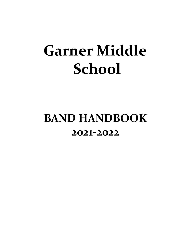# **Garner Middle School**

# **BAND HANDBOOK 2021-2022**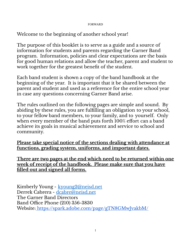#### FORWARD

Welcome to the beginning of another school year!

The purpose of this booklet is to serve as a guide and a source of information for students and parents regarding the Garner Band program. Information, policies and clear expectations are the basis for good human relations and allow the teacher, parent and student to work together for the greatest benefit of the student.

Each band student is shown a copy of the band handbook at the beginning of the year. It is important that it be shared between the parent and student and used as a reference for the entire school year in case any questions concerning Garner Band arise.

The rules outlined on the following pages are simple and sound. By abiding by these rules, you are fulfilling an obligation to your school, to your fellow band members, to your family, and to yourself. Only when every member of the band puts forth 100% effort can a band achieve its goals in musical achievement and service to school and community.

**Please take special notice of the sections dealing with attendance at functions, grading system, uniforms, and important dates.**

**There are two pages at the end which need to be returned within one week of receipt of the handbook. Please make sure that you have filled out and signed all forms.**

Kimberly Young - [kyoung2@neisd.net](mailto:kyoung2@neisd.net) Derrek Cabrera - [dcabre@neisd.net](mailto:dcabre@neisd.net) The Garner Band Directors Band Office Phone (210) 356-3830 Website: <https://spark.adobe.com/page/gTN8GMwJvakbM/>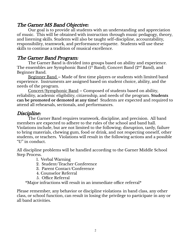#### The Garner MS Band Objective:

Our goal is to provide all students with an understanding and appreciation of music. This will be obtained with instruction through music pedagogy, theory, and listening skills. Students will also be taught self-discipline, accountability, responsibility, teamwork, and performance etiquette. Students will use these skills to continue a tradition of musical excellence.

#### The Garner Band Program:

The Garner Band is divided into groups based on ability and experience. The ensembles are Symphonic Band (1st Band), Concert Band (2 $^{\rm{nd}}$  Band), and Beginner Band.

<u>Beginner Band</u> – Made of first time players or students with limited band experience. Instruments are assigned based on student choice, ability, and the needs of the program.

Concert/Symphonic Band – Composed of students based on ability, reliability, academic eligibility, citizenship, and needs of the program. **Students can be promoted or demoted at any time!** Students are expected and required to attend all rehearsals, sectionals, and performances.

#### Discipline:

The Garner Band requires teamwork, discipline, and precision. All band members are expected to adhere to the rules of the school and band hall. Violations include, but are not limited to the following; disruption, tardy, failure to bring materials, chewing gum, food or drink, and not respecting oneself, other students, or teachers. Violations will result in the following actions and a possible "U" in conduct.

All discipline problems will be handled according to the Garner Middle School Step Process.

- 1. Verbal Warning
- 2. Student/Teacher Conference
- 3. Parent Contact/Conference
- 4. Counselor Referral
- 5. Office Referral

\*Major infractions will result in an immediate office referral\*

Please remember, any behavior or discipline violations in band class, any other class, or school function, can result in losing the privilege to participate in any or all band activities.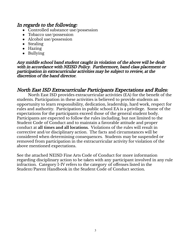#### In regards to the following:

- Controlled substance use/possession
- Tobacco use/possession
- Alcohol use/possession
- Stealing
- Hazing
- Bullying

Any middle school band student caught in violation of the above will be dealt with in accordance with NEISD Policy. Furthermore, band class placement or participation in extracurricular activities may be subject to review, at the discretion of the band director.

#### North East ISD Extracurricular Participants Expectations and Rules:

North East ISD provides extracurricular activities (EA) for the benefit of the students. Participation in these activities is believed to provide students an opportunity to learn responsibility, dedication, leadership, hard work, respect for rules and authority. Participation in public school EA is a privilege. Some of the expectations for the participants exceed those of the general student body. Participants are expected to follow the rules including, but not limited to the Student Code of Conduct and to maintain a favorable attitude and proper conduct at **all times and all locations.** Violations of the rules will result in corrective and/or disciplinary action. The facts and circumstances will be considered when determining consequences. Students may be suspended or removed from participation in the extracurricular activity for violation of the above mentioned expectations.

See the attached NEISD Fine Arts Code of Conduct for more information regarding disciplinary action to be taken with any participant involved in any rule infraction. Category I-IV refers to the category of offenses listed in the Student/Parent Handbook in the Student Code of Conduct section.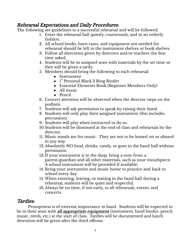#### Rehearsal Expectations and Daily Procedures:

The following are guidelines to a successful rehearsal and will be followed.

- 1. Enter the rehearsal hall quietly, courteously, and in an orderly fashion.
- 2. All school books, horn cases, and equipment not needed for rehearsal should be left in the instrument shelves or book shelves.
- 3. Follow all directions given by directors and/or teachers the first time asked.
- 4. Students will be in assigned seats with materials by the set time or they will be given a tardy.
- 5. Members should bring the following to each rehearsal:
	- Instrument
	- 1" Personal Black 3 Ring Binder
	- Essential Elements Book (Beginner Members Only)
	- All music
	- Pencil
- 6. Concert attention will be observed when the director steps on the podium.
- 7. Students will ask permission to speak by raising their hand.
- 8. Students will only play their assigned instrument (this includes percussion).
- 9. Students will play when instructed to do so.
- 10.Students will be dismissed at the end of class and rehearsals by the director.
- 11. Music stands are for music. They are not to be leaned on or abused in any way.
- 12. Absolutely NO food, drinks, candy, or gum in the band hall without permission.
- 13. If your instrument is in the shop, bring a note from a parent/guardian and all other materials, such as your mouthpiece. A school instrument will be provided if available.
- 14. Bring your instrument and music home to practice and back to school every day.
- 15. When entering, leaving, or waiting in the band hall during a rehearsal, students will be quiet and respectful.
- 16.Always be on time, if not early, to all rehearsals, events, and concerts.

## Tardies:

Promptness is of extreme importance in band. Students will be expected to be in their seats with **all appropriate equipment** (instrument, band binder, pencil, music, reeds, etc.) at the start of class. Tardies will be documented and lunch detention will be given after the third offense.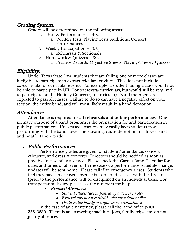#### Grading System:

Grades will be determined on the following areas:

- 1. Tests & Performances 40%
	- a. Written Tests, Playing Tests, Auditions, Concert Performances
- 2. Weekly Participation 30%
	- a. Rehearsals & Sectionals
- 3. Homework & Quizzes 30%
	- a. Practice Records/Objective Sheets, Playing/Theory Quizzes

## Eligibility:

Under Texas State Law, students that are failing one or more classes are ineligible to participate in extracurricular activities. This does not include co-curricular or curricular events. For example, a student failing a class would not be able to participate in UIL Contest (extra-curricular), but would still be required to participate on the Holiday Concert (co-curricular). Band members are expected to pass all classes. Failure to do so can have a negative effect on your section, the entire band, and will most likely result in a band demotion.

#### Attendance:

Attendance is required for **all rehearsals and public performances**. One primary purpose of a band program is the preparation for and participation in public performances. Unexcused absences may easily keep students from performing with the band, lower their seating, cause demotion to a lower band and/or affect their grade.

#### **●** Public Performances

Performance grades are given for students' attendance, concert etiquette, and dress at concerts. Directors should be notified as soon as possible in case of an absence. Please check the Garner Band Calendar for dates and times of all events. In the case of a performance schedule change, updates will be sent home. Please call if an emergency arises. Students who feel they have an excused absence but do not discuss it with the director (prior to the performance) will be disciplined on an individual basis. For transportation issues, please ask the directors for help.

- **Excused Absences:** 
	- *Student Illness (accompanied by a doctor's note)*
	- *Excused absence recorded by the attendance office*
	- *Death in the family or unforeseen circumstance*

In the case of an emergency, please call the Band office (210) 356-3830. There is an answering machine. Jobs, family trips, etc. do not justify absences.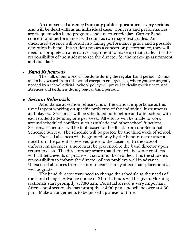**An unexcused absence from any public appearance is very serious and will be dealt with as an individual case.** Concerts and performances are frequent with band programs and are co-curricular. Garner Band concerts and performances will count as two major test grades. An unexcused absence will result in a failing performance grade and a possible demotion in band. If a student misses a concert or performance, they will need to complete an alternative assignment to make up that grade. It is the responsibility of the student to see the director for the make-up assignment and due date.

#### **●** Band Rehearsals

The bulk of our work will be done during the regular band period. Do not ask to be excused from this period except in emergencies, where you are urgently needed by a school official. School policy will prevail in dealing with unexcused absences and tardiness during regular band periods.

#### **●** Section Rehearsals

Attendance at section rehearsal is of the utmost importance as this time is spent working on specific problems of the individual instruments and players. Sectionals will be scheduled both before and after school with each student attending one per week. All efforts will be made to work around scheduled conflicts such as athletic and other school functions. Sectional schedules will be built based on feedback from our Sectional Schedule Survey. The schedule will be posted by the third week of school.

Excused absences will be granted only by the band director after a note from the parent is received prior to the absence. In the case of unforeseen absences, a note must be presented to the band director upon return to class. The directors are aware that there will be some conflicts with athletic events or practices that cannot be avoided. It is the student's responsibility to inform the director of any problem well in advance. Unexcused absences from section rehearsals may affect chair placement as well as grade.

The band director may need to change the schedule as the needs of the band change. Advance notice of 24 to 72 hours will be given. Morning sectionals start promptly at 7:30 a.m. Punctual arrival is very important. After school sectionals start promptly at 4:00 p.m. and will be over at 4:30 p.m. Make arrangements to be picked up ahead of time.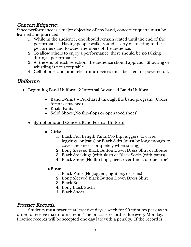#### Concert Etiquette:

Since performance is a major objective of any band, concert etiquette must be learned and practiced.

- 1. While in the audience, one should remain seated until the end of the performance. Having people walk around is very distracting to the performers and to other members of the audience.
- 2. To allow others to enjoy a performance, there should be no talking during a performance.
- 3. At the end of each selection, the audience should applaud. Shouting or whistling is not acceptable.
- 4. Cell phones and other electronic devices must be silent or powered off.

#### Uniforms:

- Beginning Band Uniform & Informal Advanced Bands Uniform
	- Band T-Shirt Purchased through the band program. (Order form is attached)
	- Khaki Pants
	- Solid Shoes (No flip-flops or open toed shoes)
	- Symphonic and Concert Band Formal Uniform
		- **Girls:**
			- 1. Black Full Length Pants (No hip huggers, low rise, leggings, or jeans) or Black Skirt (must be long enough to cover the knees completely when sitting)
			- 2. Long Sleeved Black Button Down Dress Shirt or Blouse
			- 3. Black Stockings (with skirt) or Black Socks (with pants)
			- 4. Black Shoes (No flip flops, heels over 1inch, or open toe)
			- ●**Boys:**
				- 1. Black Pants (No joggers, tight leg, or jeans)
				- 2. Long Sleeved Black Button Down Dress Shirt
				- 3. Black Belt
				- 4. Long Black Socks
				- 5. Black Shoes

#### Practice Records:

Students must practice at least five days a week for 20 minutes per day in order to receive maximum credit. The practice record is due every Monday. Practice records will be accepted one day late with a penalty. If the record is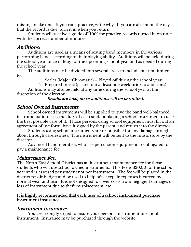missing, make one. If you can't practice, write why. If you are absent on the day that the record is due, turn it in when you return.

Students will receive a grade of "100" for practice records turned in on time with the correct number of minutes.

#### Auditions:

Auditions are used as a means of seating band members in the various performing bands according to their playing ability. Auditions will be held during the school year, once in May for the upcoming school year and as needed during the school year.

The auditions may be divided into several areas to include but not limited to:

1. Scales (Major/Chromatic) – Played off during the school year

2. Prepared music (passed out at least one week prior to auditions)

Auditions may also be held at any time during the school year at the discretion of the director.

#### Results are final; no re-auditions will be permitted.

#### School Owned Instruments:

School owned instruments will be supplied to give the band well-balanced instrumentation. It is the duty of each student playing a school instrument to take the best possible care of it. Those persons using school equipment must fill out an agreement of use form, have it signed by the parent, and return it to the director.

Students using school instruments are responsible for any damage brought about through carelessness. The instrument will be sent to the music store by the director.

Advanced band members who use percussion equipment are obligated to pay a maintenance fee.

#### Maintenance Fee:

The North East School District has an instrument maintenance fee for those students who will use school owned instruments. This fee is \$30.00 for the school year and is assessed per student not per instrument. The fee will be placed in the district repair budget and be used to help offset repair expenses incurred by normal wear and tear. It is not designed to cover costs from negligent damages or loss of instrument due to theft/misplacement, etc.

#### **It is highly recommended that each user of a school instrument purchase instrument insurance.**

#### Instrument Insurance:

You are strongly urged to insure your personal instrument or school instrument. Insurance may be purchased through the website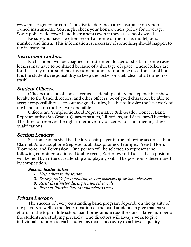www.musicagencyinc.com. The district does not carry insurance on school owned instruments. You might check your homeowners policy for coverage. Some policies do cover band instruments even if they are school owned.

Be sure you have a written record at home of the make, model, serial number and finish. This information is necessary if something should happen to the instrument.

#### Instrument Lockers:

Each student will be assigned an instrument locker or shelf. In some cases lockers may have to be shared because of a shortage of space. These lockers are for the safety of the students' instruments and are not to be used for school books. It is the student's responsibility to keep the locker or shelf clean at all times (no trash).

#### Student Officers:

Officers must be of above average leadership ability; be dependable; show loyalty to the band, directors, and other officers; be of good character; be able to accept responsibility; carry out assigned duties; be able to inspire the best work of the band and do the best work possible.

Officers are Symphonic Band Representative (8th Grade), Concert Band Representative (8th Grade), Quartermasters, Librarians, and Secretary/Historian. The director reserves the right to remove any officer who is not meeting these qualifications.

#### Section Leaders:

Section leaders shall be the first chair player in the following sections: Flute, Clarinet, Alto Saxophone (represents all Saxophones), Trumpet, French Horn, Trombone, and Percussion. One person will be selected to represent the following combined sections: Double reeds, Baritones and Tubas. Each position will be held by virtue of leadership and playing skill. The position is determined by competition.

#### Section leader duties

- *1. Help others in the section*
- *2. Be responsible for reminding section members of section rehearsals*
- 3. *Assist the director during section rehearsals*
- 4. *Pass out Practice Records and related items*

#### Private Lessons:

The success of every outstanding band program depends on the quality of the players as well as the determination of the band students to give that extra effort. In the top middle school band programs across the state, a large number of the students are studying privately. The directors will always work to give individual attention to each student as that is necessary to achieve a quality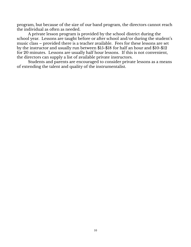program, but because of the size of our band program, the directors cannot reach the individual as often as needed.

A private lesson program is provided by the school district during the school year. Lessons are taught before or after school and/or during the student's music class – provided there is a teacher available. Fees for these lessons are set by the instructor and usually run between \$15-\$18 for half an hour and \$10-\$12 for 20 minutes. Lessons are usually half hour lessons. If this is not convenient, the directors can supply a list of available private instructors.

Students and parents are encouraged to consider private lessons as a means of extending the talent and quality of the instrumentalist.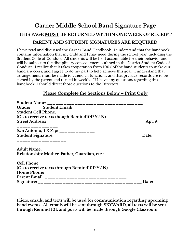# **Garner Middle School Band Signature Page THIS PAGE MUST BE RETURNED WITHIN ONE WEEK OF RECEIPT PARENT AND STUDENT SIGNATURES ARE REQUIRED**

I have read and discussed the Garner Band Handbook. I understand that the handbook contains information that my child and I may need during the school year, including the Student Code of Conduct. All students will be held accountable for their behavior and will be subject to the disciplinary consequences outlined in the District Student Code of Conduct. I realize that it takes cooperation from 100% of the band students to make our band a success, and I agree to do my part to help achieve this goal. I understand that arrangements must be made to attend all functions, and that practice records are to be signed by the parent and turned in weekly. If I have any questions regarding this handbook, I should direct those questions to the Directors.

#### **Please Complete the Sections Below – Print Only**

| Grade: ____ Student Email: _______________________________              |            |
|-------------------------------------------------------------------------|------------|
|                                                                         |            |
| (Ok to receive texts though Remind101? Y / N)                           |            |
|                                                                         | Apt. $#$ : |
| San Antonio, TX Zip: _____________                                      |            |
| _________________                                                       | Date:      |
|                                                                         |            |
| Relationship: Mother, Father, Guardian, etc.:                           |            |
| ______________________________<br>Cell Phone: _________________________ |            |
| (Ok to receive texts through Remind101? $Y/N$ )                         |            |
| Home Phone: ____________________                                        |            |
|                                                                         |            |
|                                                                         | Date:      |
| ____________________                                                    |            |

**Fliers, emails, and texts will be used for communication regarding upcoming band events. All emails will be sent through SKYWARD, all texts will be sent through Remind 101, and posts will be made through Google Classroom.**